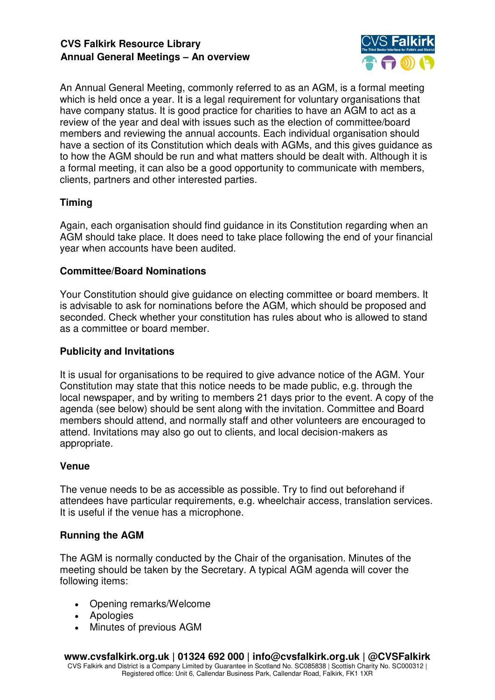

An Annual General Meeting, commonly referred to as an AGM, is a formal meeting which is held once a year. It is a legal requirement for voluntary organisations that have company status. It is good practice for charities to have an AGM to act as a review of the year and deal with issues such as the election of committee/board members and reviewing the annual accounts. Each individual organisation should have a section of its Constitution which deals with AGMs, and this gives guidance as to how the AGM should be run and what matters should be dealt with. Although it is a formal meeting, it can also be a good opportunity to communicate with members, clients, partners and other interested parties.

# **Timing**

Again, each organisation should find guidance in its Constitution regarding when an AGM should take place. It does need to take place following the end of your financial year when accounts have been audited.

## **Committee/Board Nominations**

Your Constitution should give guidance on electing committee or board members. It is advisable to ask for nominations before the AGM, which should be proposed and seconded. Check whether your constitution has rules about who is allowed to stand as a committee or board member.

## **Publicity and Invitations**

It is usual for organisations to be required to give advance notice of the AGM. Your Constitution may state that this notice needs to be made public, e.g. through the local newspaper, and by writing to members 21 days prior to the event. A copy of the agenda (see below) should be sent along with the invitation. Committee and Board members should attend, and normally staff and other volunteers are encouraged to attend. Invitations may also go out to clients, and local decision-makers as appropriate.

## **Venue**

The venue needs to be as accessible as possible. Try to find out beforehand if attendees have particular requirements, e.g. wheelchair access, translation services. It is useful if the venue has a microphone.

## **Running the AGM**

The AGM is normally conducted by the Chair of the organisation. Minutes of the meeting should be taken by the Secretary. A typical AGM agenda will cover the following items:

- Opening remarks/Welcome
- Apologies
- Minutes of previous AGM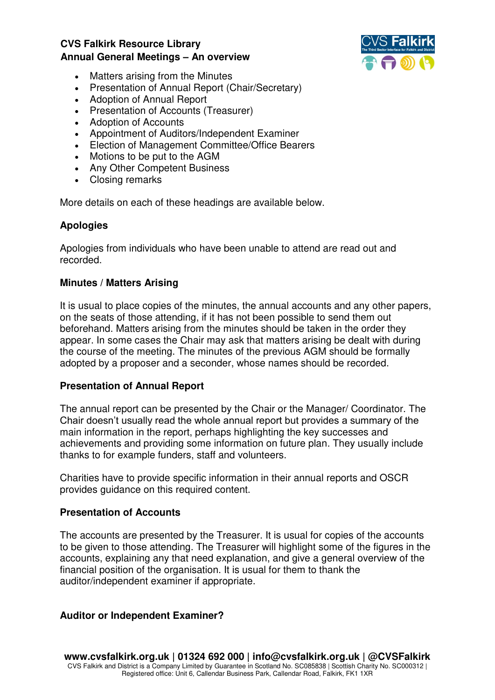

- Matters arising from the Minutes
- Presentation of Annual Report (Chair/Secretary)
- Adoption of Annual Report
- Presentation of Accounts (Treasurer)
- Adoption of Accounts
- Appointment of Auditors/Independent Examiner
- Election of Management Committee/Office Bearers
- Motions to be put to the AGM
- Any Other Competent Business
- Closing remarks

More details on each of these headings are available below.

### **Apologies**

Apologies from individuals who have been unable to attend are read out and recorded.

#### **Minutes / Matters Arising**

It is usual to place copies of the minutes, the annual accounts and any other papers, on the seats of those attending, if it has not been possible to send them out beforehand. Matters arising from the minutes should be taken in the order they appear. In some cases the Chair may ask that matters arising be dealt with during the course of the meeting. The minutes of the previous AGM should be formally adopted by a proposer and a seconder, whose names should be recorded.

#### **Presentation of Annual Report**

The annual report can be presented by the Chair or the Manager/ Coordinator. The Chair doesn't usually read the whole annual report but provides a summary of the main information in the report, perhaps highlighting the key successes and achievements and providing some information on future plan. They usually include thanks to for example funders, staff and volunteers.

Charities have to provide specific information in their annual reports and OSCR provides guidance on this required content.

#### **Presentation of Accounts**

The accounts are presented by the Treasurer. It is usual for copies of the accounts to be given to those attending. The Treasurer will highlight some of the figures in the accounts, explaining any that need explanation, and give a general overview of the financial position of the organisation. It is usual for them to thank the auditor/independent examiner if appropriate.

#### **Auditor or Independent Examiner?**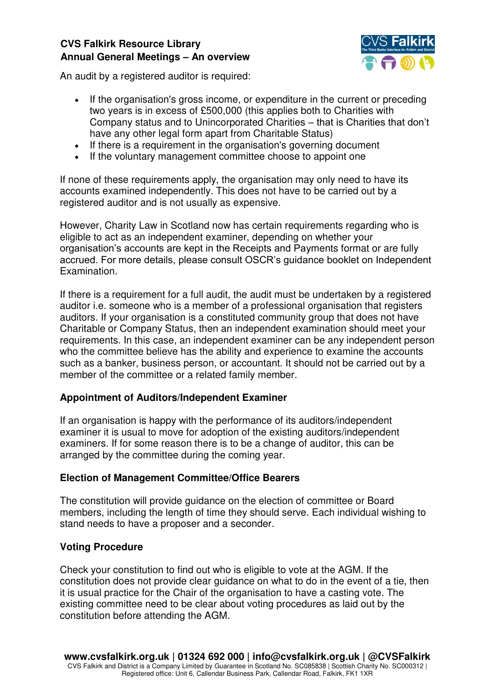

An audit by a registered auditor is required:

- If the organisation's gross income, or expenditure in the current or preceding two years is in excess of £500,000 (this applies both to Charities with Company status and to Unincorporated Charities – that is Charities that don't have any other legal form apart from Charitable Status)
- If there is a requirement in the organisation's governing document
- If the voluntary management committee choose to appoint one

If none of these requirements apply, the organisation may only need to have its accounts examined independently. This does not have to be carried out by a registered auditor and is not usually as expensive.

However, Charity Law in Scotland now has certain requirements regarding who is eligible to act as an independent examiner, depending on whether your organisation's accounts are kept in the Receipts and Payments format or are fully accrued. For more details, please consult OSCR's guidance booklet on Independent Examination.

If there is a requirement for a full audit, the audit must be undertaken by a registered auditor i.e. someone who is a member of a professional organisation that registers auditors. If your organisation is a constituted community group that does not have Charitable or Company Status, then an independent examination should meet your requirements. In this case, an independent examiner can be any independent person who the committee believe has the ability and experience to examine the accounts such as a banker, business person, or accountant. It should not be carried out by a member of the committee or a related family member.

## **Appointment of Auditors/Independent Examiner**

If an organisation is happy with the performance of its auditors/independent examiner it is usual to move for adoption of the existing auditors/independent examiners. If for some reason there is to be a change of auditor, this can be arranged by the committee during the coming year.

#### **Election of Management Committee/Office Bearers**

The constitution will provide guidance on the election of committee or Board members, including the length of time they should serve. Each individual wishing to stand needs to have a proposer and a seconder.

#### **Voting Procedure**

Check your constitution to find out who is eligible to vote at the AGM. If the constitution does not provide clear guidance on what to do in the event of a tie, then it is usual practice for the Chair of the organisation to have a casting vote. The existing committee need to be clear about voting procedures as laid out by the constitution before attending the AGM.